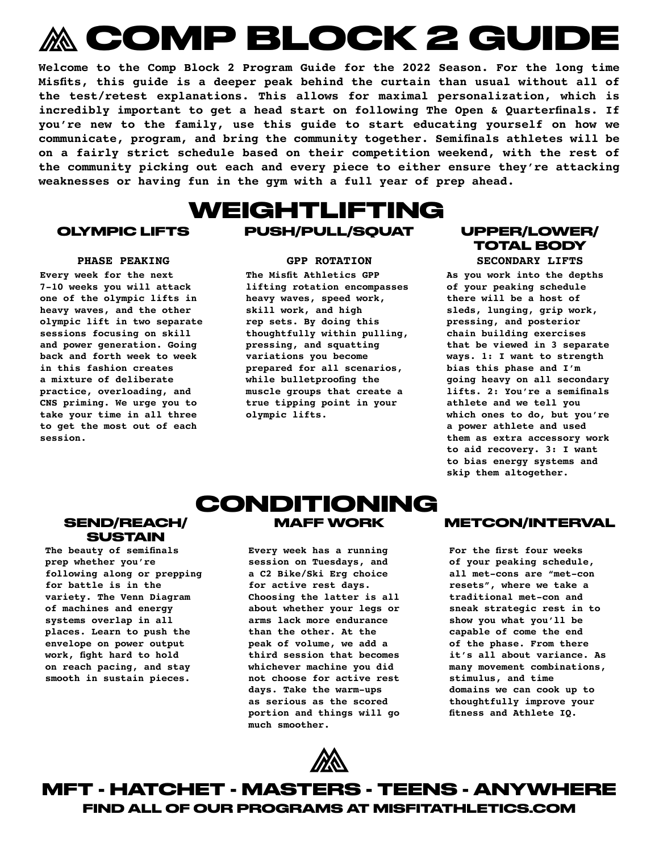# **COMP BLOCK 2 GUIDE**

**Welcome to the Comp Block 2 Program Guide for the 2022 Season. For the long time Misfits, this guide is a deeper peak behind the curtain than usual without all of the test/retest explanations. This allows for maximal personalization, which is incredibly important to get a head start on following The Open & Quarterfinals. If you're new to the family, use this guide to start educating yourself on how we communicate, program, and bring the community together. Semifinals athletes will be on a fairly strict schedule based on their competition weekend, with the rest of the community picking out each and every piece to either ensure they're attacking weaknesses or having fun in the gym with a full year of prep ahead.**

## **WEIGHTLIFTING OLYMPIC LIFTS PUSH/PULL/SQUAT UPPER/LOWER/**

**Every week for the next 7-10 weeks you will attack one of the olympic lifts in heavy waves, and the other olympic lift in two separate sessions focusing on skill and power generation. Going back and forth week to week in this fashion creates a mixture of deliberate practice, overloading, and CNS priming. We urge you to take your time in all three to get the most out of each session.**

**The Misfit Athletics GPP lifting rotation encompasses heavy waves, speed work, skill work, and high rep sets. By doing this thoughtfully within pulling, pressing, and squatting variations you become prepared for all scenarios, while bulletproofing the muscle groups that create a true tipping point in your olympic lifts.**

## **TOTAL BODY**

**PHASE PEAKING GPP ROTATION SECONDARY LIFTS**

**As you work into the depths of your peaking schedule there will be a host of sleds, lunging, grip work, pressing, and posterior chain building exercises that be viewed in 3 separate ways. 1: I want to strength bias this phase and I'm going heavy on all secondary lifts. 2: You're a semifinals athlete and we tell you which ones to do, but you're a power athlete and used them as extra accessory work to aid recovery. 3: I want to bias energy systems and skip them altogether.**

### **SEND/REACH/ SUSTAIN**

**The beauty of semifinals prep whether you're following along or prepping for battle is in the variety. The Venn Diagram of machines and energy systems overlap in all places. Learn to push the envelope on power output work, fight hard to hold on reach pacing, and stay smooth in sustain pieces.**

### **CONDITIONING MAFF WORK METCON/INTERVAL**

**Every week has a running session on Tuesdays, and a C2 Bike/Ski Erg choice for active rest days. Choosing the latter is all about whether your legs or arms lack more endurance than the other. At the peak of volume, we add a third session that becomes whichever machine you did not choose for active rest days. Take the warm-ups as serious as the scored portion and things will go much smoother.** 



**For the first four weeks of your peaking schedule, all met-cons are "met-con resets", where we take a traditional met-con and sneak strategic rest in to show you what you'll be capable of come the end of the phase. From there it's all about variance. As many movement combinations, stimulus, and time domains we can cook up to thoughtfully improve your fitness and Athlete IQ.**

**FIND ALL OF OUR PROGRAMS AT MISFITATHLETICS.COM MFT - HATCHET - MASTERS - TEENS - ANYWHERE**